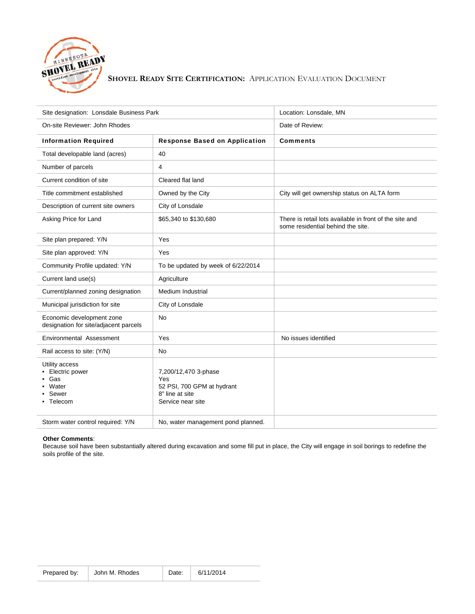

## **SHOVEL READY SITE CERTIFICATION:** APPLICATION EVALUATION DOCUMENT

| Site designation: Lonsdale Business Park                               |                                                                                                   | Location: Lonsdale, MN                                                                       |
|------------------------------------------------------------------------|---------------------------------------------------------------------------------------------------|----------------------------------------------------------------------------------------------|
| On-site Reviewer: John Rhodes                                          |                                                                                                   | Date of Review:                                                                              |
| <b>Information Required</b>                                            | <b>Response Based on Application</b>                                                              | <b>Comments</b>                                                                              |
| Total developable land (acres)                                         | 40                                                                                                |                                                                                              |
| Number of parcels                                                      | 4                                                                                                 |                                                                                              |
| Current condition of site                                              | Cleared flat land                                                                                 |                                                                                              |
| Title commitment established                                           | Owned by the City                                                                                 | City will get ownership status on ALTA form                                                  |
| Description of current site owners                                     | City of Lonsdale                                                                                  |                                                                                              |
| Asking Price for Land                                                  | \$65,340 to \$130,680                                                                             | There is retail lots available in front of the site and<br>some residential behind the site. |
| Site plan prepared: Y/N                                                | Yes                                                                                               |                                                                                              |
| Site plan approved: Y/N                                                | Yes                                                                                               |                                                                                              |
| Community Profile updated: Y/N                                         | To be updated by week of 6/22/2014                                                                |                                                                                              |
| Current land use(s)                                                    | Agriculture                                                                                       |                                                                                              |
| Current/planned zoning designation                                     | <b>Medium Industrial</b>                                                                          |                                                                                              |
| Municipal jurisdiction for site                                        | City of Lonsdale                                                                                  |                                                                                              |
| Economic development zone<br>designation for site/adjacent parcels     | <b>No</b>                                                                                         |                                                                                              |
| Environmental Assessment                                               | Yes                                                                                               | No issues identified                                                                         |
| Rail access to site: (Y/N)                                             | No                                                                                                |                                                                                              |
| Utility access<br>Electric power<br>Gas<br>Water<br>Sewer<br>• Telecom | 7,200/12,470 3-phase<br>Yes<br>52 PSI, 700 GPM at hydrant<br>8" line at site<br>Service near site |                                                                                              |
| Storm water control required: Y/N                                      | No, water management pond planned.                                                                |                                                                                              |

## **Other Comments**:

Because soil have been substantially altered during excavation and some fill put in place, the City will engage in soil borings to redefine the soils profile of the site.